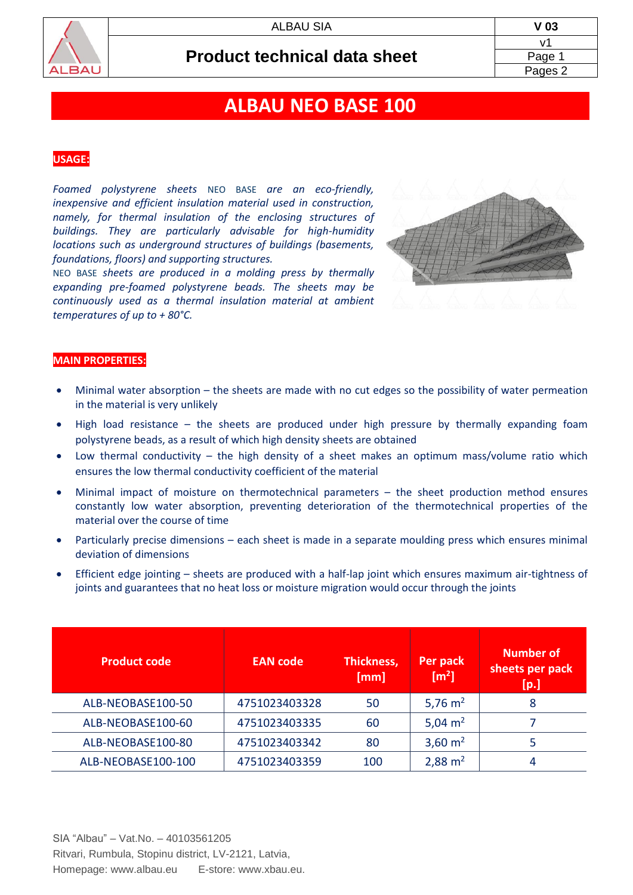

# **ALBAU NEO BASE 100**

### **USAGE:**

*Foamed polystyrene sheets* NEO BASE *are an eco-friendly, inexpensive and efficient insulation material used in construction, namely, for thermal insulation of the enclosing structures of buildings. They are particularly advisable for high-humidity locations such as underground structures of buildings (basements, foundations, floors) and supporting structures.*

NEO BASE *sheets are produced in a molding press by thermally expanding pre-foamed polystyrene beads. The sheets may be continuously used as a thermal insulation material at ambient temperatures of up to + 80°C.*



#### **MAIN PROPERTIES:**

- Minimal water absorption the sheets are made with no cut edges so the possibility of water permeation in the material is very unlikely
- High load resistance the sheets are produced under high pressure by thermally expanding foam polystyrene beads, as a result of which high density sheets are obtained
- Low thermal conductivity the high density of a sheet makes an optimum mass/volume ratio which ensures the low thermal conductivity coefficient of the material
- Minimal impact of moisture on thermotechnical parameters the sheet production method ensures constantly low water absorption, preventing deterioration of the thermotechnical properties of the material over the course of time
- Particularly precise dimensions each sheet is made in a separate moulding press which ensures minimal deviation of dimensions
- Efficient edge jointing sheets are produced with a half-lap joint which ensures maximum air-tightness of joints and guarantees that no heat loss or moisture migration would occur through the joints

| <b>Product code</b> | <b>EAN</b> code | Thickness,<br>[mm] | Per pack<br>[m <sup>2</sup> ] | <b>Number of</b><br>sheets per pack<br>[p.] |
|---------------------|-----------------|--------------------|-------------------------------|---------------------------------------------|
| ALB-NEOBASE100-50   | 4751023403328   | 50                 | 5,76 $m2$                     | 8                                           |
| ALB-NEOBASE100-60   | 4751023403335   | 60                 | 5,04 $m2$                     |                                             |
| ALB-NEOBASE100-80   | 4751023403342   | 80                 | 3,60 $m2$                     | 5                                           |
| ALB-NEOBASE100-100  | 4751023403359   | 100                | $2,88 \text{ m}^2$            | 4                                           |